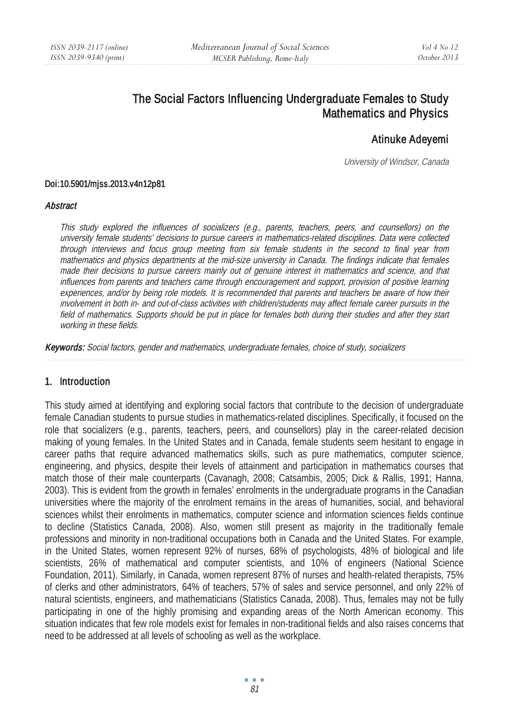# The Social Factors Influencing Undergraduate Females to Study Mathematics and Physics

# Atinuke Adeyemi

University of Windsor, Canada

#### Doi:10.5901/mjss.2013.v4n12p81

#### **Abstract**

This study explored the influences of socializers (e.g., parents, teachers, peers, and counsellors) on the university female students' decisions to pursue careers in mathematics-related disciplines. Data were collected through interviews and focus group meeting from six female students in the second to final year from mathematics and physics departments at the mid-size university in Canada. The findings indicate that females made their decisions to pursue careers mainly out of genuine interest in mathematics and science, and that influences from parents and teachers came through encouragement and support, provision of positive learning experiences, and/or by being role models. It is recommended that parents and teachers be aware of how their involvement in both in- and out-of-class activities with children/students may affect female career pursuits in the field of mathematics. Supports should be put in place for females both during their studies and after they start working in these fields.

Keywords: Social factors, gender and mathematics, undergraduate females, choice of study, socializers

### 1. Introduction

This study aimed at identifying and exploring social factors that contribute to the decision of undergraduate female Canadian students to pursue studies in mathematics-related disciplines. Specifically, it focused on the role that socializers (e.g., parents, teachers, peers, and counsellors) play in the career-related decision making of young females. In the United States and in Canada, female students seem hesitant to engage in career paths that require advanced mathematics skills, such as pure mathematics, computer science, engineering, and physics, despite their levels of attainment and participation in mathematics courses that match those of their male counterparts (Cavanagh, 2008; Catsambis, 2005; Dick & Rallis, 1991; Hanna, 2003). This is evident from the growth in females' enrolments in the undergraduate programs in the Canadian universities where the majority of the enrolment remains in the areas of humanities, social, and behavioral sciences whilst their enrolments in mathematics, computer science and information sciences fields continue to decline (Statistics Canada, 2008). Also, women still present as majority in the traditionally female professions and minority in non-traditional occupations both in Canada and the United States. For example, in the United States, women represent 92% of nurses, 68% of psychologists, 48% of biological and life scientists, 26% of mathematical and computer scientists, and 10% of engineers (National Science Foundation, 2011). Similarly, in Canada, women represent 87% of nurses and health-related therapists, 75% of clerks and other administrators, 64% of teachers, 57% of sales and service personnel, and only 22% of natural scientists, engineers, and mathematicians (Statistics Canada, 2008). Thus, females may not be fully participating in one of the highly promising and expanding areas of the North American economy. This situation indicates that few role models exist for females in non-traditional fields and also raises concerns that need to be addressed at all levels of schooling as well as the workplace.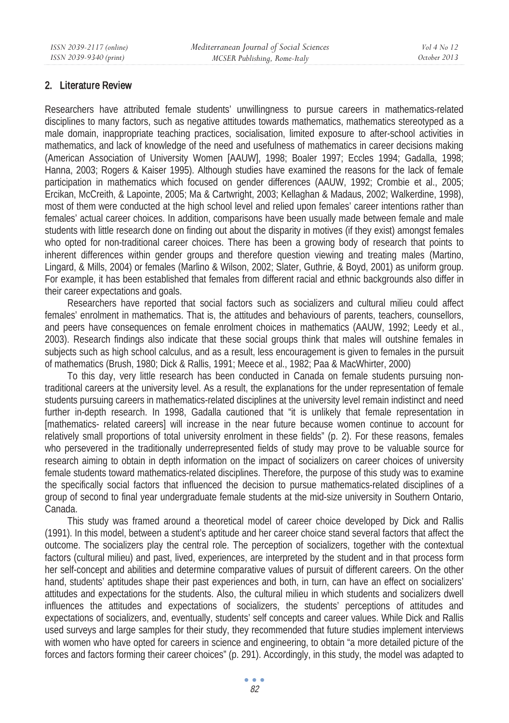### 2. Literature Review

Researchers have attributed female students' unwillingness to pursue careers in mathematics-related disciplines to many factors, such as negative attitudes towards mathematics, mathematics stereotyped as a male domain, inappropriate teaching practices, socialisation, limited exposure to after-school activities in mathematics, and lack of knowledge of the need and usefulness of mathematics in career decisions making (American Association of University Women [AAUW], 1998; Boaler 1997; Eccles 1994; Gadalla, 1998; Hanna, 2003; Rogers & Kaiser 1995). Although studies have examined the reasons for the lack of female participation in mathematics which focused on gender differences (AAUW, 1992; Crombie et al., 2005; Ercikan, McCreith, & Lapointe, 2005; Ma & Cartwright, 2003; Kellaghan & Madaus, 2002; Walkerdine, 1998), most of them were conducted at the high school level and relied upon females' career intentions rather than females' actual career choices. In addition, comparisons have been usually made between female and male students with little research done on finding out about the disparity in motives (if they exist) amongst females who opted for non-traditional career choices. There has been a growing body of research that points to inherent differences within gender groups and therefore question viewing and treating males (Martino, Lingard, & Mills, 2004) or females (Marlino & Wilson, 2002; Slater, Guthrie, & Boyd, 2001) as uniform group. For example, it has been established that females from different racial and ethnic backgrounds also differ in their career expectations and goals.

Researchers have reported that social factors such as socializers and cultural milieu could affect females' enrolment in mathematics. That is, the attitudes and behaviours of parents, teachers, counsellors, and peers have consequences on female enrolment choices in mathematics (AAUW, 1992; Leedy et al., 2003). Research findings also indicate that these social groups think that males will outshine females in subjects such as high school calculus, and as a result, less encouragement is given to females in the pursuit of mathematics (Brush, 1980; Dick & Rallis, 1991; Meece et al., 1982; Paa & MacWhirter, 2000)

To this day, very little research has been conducted in Canada on female students pursuing nontraditional careers at the university level. As a result, the explanations for the under representation of female students pursuing careers in mathematics-related disciplines at the university level remain indistinct and need further in-depth research. In 1998, Gadalla cautioned that "it is unlikely that female representation in [mathematics- related careers] will increase in the near future because women continue to account for relatively small proportions of total university enrolment in these fields" (p. 2). For these reasons, females who persevered in the traditionally underrepresented fields of study may prove to be valuable source for research aiming to obtain in depth information on the impact of socializers on career choices of university female students toward mathematics-related disciplines. Therefore, the purpose of this study was to examine the specifically social factors that influenced the decision to pursue mathematics-related disciplines of a group of second to final year undergraduate female students at the mid-size university in Southern Ontario, Canada.

This study was framed around a theoretical model of career choice developed by Dick and Rallis (1991). In this model, between a student's aptitude and her career choice stand several factors that affect the outcome. The socializers play the central role. The perception of socializers, together with the contextual factors (cultural milieu) and past, lived, experiences, are interpreted by the student and in that process form her self-concept and abilities and determine comparative values of pursuit of different careers. On the other hand, students' aptitudes shape their past experiences and both, in turn, can have an effect on socializers' attitudes and expectations for the students. Also, the cultural milieu in which students and socializers dwell influences the attitudes and expectations of socializers, the students' perceptions of attitudes and expectations of socializers, and, eventually, students' self concepts and career values. While Dick and Rallis used surveys and large samples for their study, they recommended that future studies implement interviews with women who have opted for careers in science and engineering, to obtain "a more detailed picture of the forces and factors forming their career choices" (p. 291). Accordingly, in this study, the model was adapted to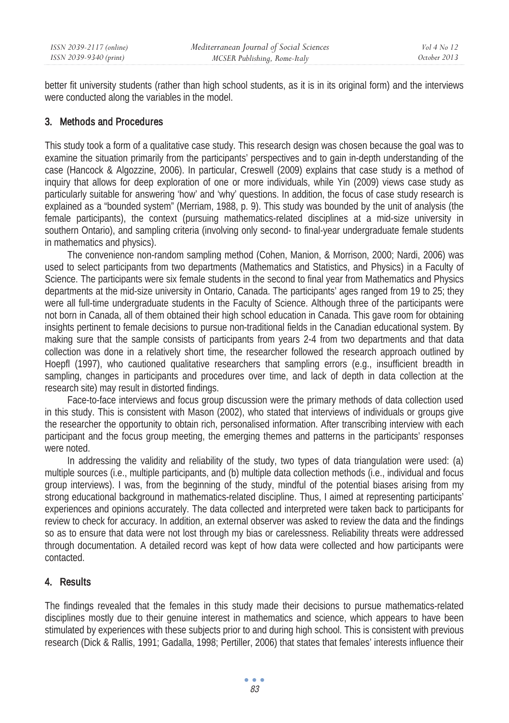better fit university students (rather than high school students, as it is in its original form) and the interviews were conducted along the variables in the model.

## 3. Methods and Procedures

This study took a form of a qualitative case study. This research design was chosen because the goal was to examine the situation primarily from the participants' perspectives and to gain in-depth understanding of the case (Hancock & Algozzine, 2006). In particular, Creswell (2009) explains that case study is a method of inquiry that allows for deep exploration of one or more individuals, while Yin (2009) views case study as particularly suitable for answering 'how' and 'why' questions. In addition, the focus of case study research is explained as a "bounded system" (Merriam, 1988, p. 9). This study was bounded by the unit of analysis (the female participants), the context (pursuing mathematics-related disciplines at a mid-size university in southern Ontario), and sampling criteria (involving only second- to final-year undergraduate female students in mathematics and physics).

The convenience non-random sampling method (Cohen, Manion, & Morrison, 2000; Nardi, 2006) was used to select participants from two departments (Mathematics and Statistics, and Physics) in a Faculty of Science. The participants were six female students in the second to final year from Mathematics and Physics departments at the mid-size university in Ontario, Canada. The participants' ages ranged from 19 to 25; they were all full-time undergraduate students in the Faculty of Science. Although three of the participants were not born in Canada, all of them obtained their high school education in Canada. This gave room for obtaining insights pertinent to female decisions to pursue non-traditional fields in the Canadian educational system. By making sure that the sample consists of participants from years 2-4 from two departments and that data collection was done in a relatively short time, the researcher followed the research approach outlined by Hoepfl (1997), who cautioned qualitative researchers that sampling errors (e.g., insufficient breadth in sampling, changes in participants and procedures over time, and lack of depth in data collection at the research site) may result in distorted findings.

Face-to-face interviews and focus group discussion were the primary methods of data collection used in this study. This is consistent with Mason (2002), who stated that interviews of individuals or groups give the researcher the opportunity to obtain rich, personalised information. After transcribing interview with each participant and the focus group meeting, the emerging themes and patterns in the participants' responses were noted.

In addressing the validity and reliability of the study, two types of data triangulation were used: (a) multiple sources (i.e., multiple participants, and (b) multiple data collection methods (i.e., individual and focus group interviews). I was, from the beginning of the study, mindful of the potential biases arising from my strong educational background in mathematics-related discipline. Thus, I aimed at representing participants' experiences and opinions accurately. The data collected and interpreted were taken back to participants for review to check for accuracy. In addition, an external observer was asked to review the data and the findings so as to ensure that data were not lost through my bias or carelessness. Reliability threats were addressed through documentation. A detailed record was kept of how data were collected and how participants were contacted.

## 4. Results

The findings revealed that the females in this study made their decisions to pursue mathematics-related disciplines mostly due to their genuine interest in mathematics and science, which appears to have been stimulated by experiences with these subjects prior to and during high school. This is consistent with previous research (Dick & Rallis, 1991; Gadalla, 1998; Pertiller, 2006) that states that females' interests influence their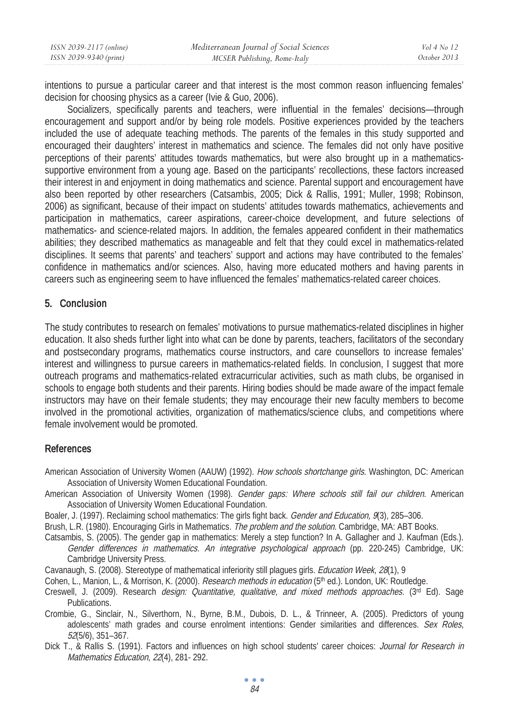| ISSN 2039-2117 (online) | Mediterranean Journal of Social Sciences | Vol 4 No 12  |
|-------------------------|------------------------------------------|--------------|
| ISSN 2039-9340 (print)  | MCSER Publishing, Rome-Italy             | October 2013 |

intentions to pursue a particular career and that interest is the most common reason influencing females' decision for choosing physics as a career (Ivie & Guo, 2006).

Socializers, specifically parents and teachers, were influential in the females' decisions—through encouragement and support and/or by being role models. Positive experiences provided by the teachers included the use of adequate teaching methods. The parents of the females in this study supported and encouraged their daughters' interest in mathematics and science. The females did not only have positive perceptions of their parents' attitudes towards mathematics, but were also brought up in a mathematicssupportive environment from a young age. Based on the participants' recollections, these factors increased their interest in and enjoyment in doing mathematics and science. Parental support and encouragement have also been reported by other researchers (Catsambis, 2005; Dick & Rallis, 1991; Muller, 1998; Robinson, 2006) as significant, because of their impact on students' attitudes towards mathematics, achievements and participation in mathematics, career aspirations, career-choice development, and future selections of mathematics- and science-related majors. In addition, the females appeared confident in their mathematics abilities; they described mathematics as manageable and felt that they could excel in mathematics-related disciplines. It seems that parents' and teachers' support and actions may have contributed to the females' confidence in mathematics and/or sciences. Also, having more educated mothers and having parents in careers such as engineering seem to have influenced the females' mathematics-related career choices.

### 5. Conclusion

The study contributes to research on females' motivations to pursue mathematics-related disciplines in higher education. It also sheds further light into what can be done by parents, teachers, facilitators of the secondary and postsecondary programs, mathematics course instructors, and care counsellors to increase females' interest and willingness to pursue careers in mathematics-related fields. In conclusion, I suggest that more outreach programs and mathematics-related extracurricular activities, such as math clubs, be organised in schools to engage both students and their parents. Hiring bodies should be made aware of the impact female instructors may have on their female students; they may encourage their new faculty members to become involved in the promotional activities, organization of mathematics/science clubs, and competitions where female involvement would be promoted.

### References

- American Association of University Women (AAUW) (1992). How schools shortchange girls. Washington, DC: American Association of University Women Educational Foundation.
- American Association of University Women (1998). Gender gaps: Where schools still fail our children. American Association of University Women Educational Foundation.
- Boaler, J. (1997). Reclaiming school mathematics: The girls fight back. Gender and Education, 9(3), 285–306.
- Brush, L.R. (1980). Encouraging Girls in Mathematics. The problem and the solution. Cambridge, MA: ABT Books.
- Catsambis, S. (2005). The gender gap in mathematics: Merely a step function? In A. Gallagher and J. Kaufman (Eds.). Gender differences in mathematics. An integrative psychological approach (pp. 220-245) Cambridge, UK: Cambridge University Press.
- Cavanaugh, S. (2008). Stereotype of mathematical inferiority still plagues girls. Education Week, 28(1), 9
- Cohen, L., Manion, L., & Morrison, K. (2000). Research methods in education (5th ed.). London, UK: Routledge.
- Creswell, J. (2009). Research *design: Quantitative, qualitative, and mixed methods approaches.* (3<sup>rd</sup> Ed). Sage Publications.
- Crombie, G., Sinclair, N., Silverthorn, N., Byrne, B.M., Dubois, D. L., & Trinneer, A. (2005). Predictors of young adolescents' math grades and course enrolment intentions: Gender similarities and differences. Sex Roles, 52(5/6), 351–367.
- Dick T., & Rallis S. (1991). Factors and influences on high school students' career choices: Journal for Research in Mathematics Education, 22(4), 281- 292.